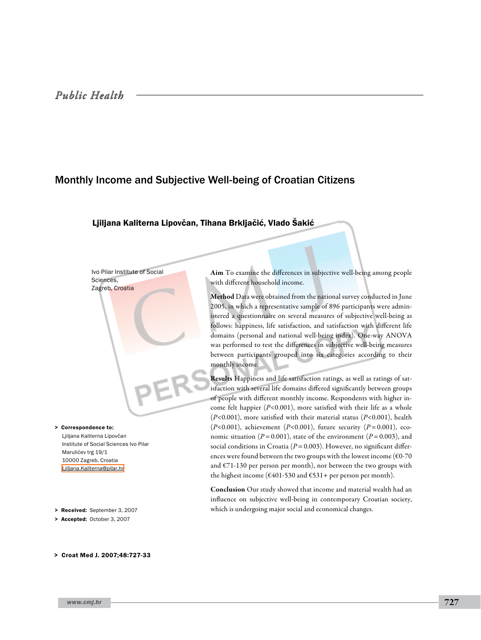# Monthly Income and Subjective Well-being of Croatian Citizens

# Ljiljana Kaliterna Lipovčan, Tihana Brkljačić, Vlado Šakić

Ivo Pilar Institute of Social Sciences, Zagreb, Croatia

Ljiljana Kaliterna Lipovčan Institute of Social Sciences Ivo Pilar Marulićev trg 19/1 10000 Zagreb, Croatia *[Ljiljana.Kaliterna@pilar.hr](mailto: Ljiljana.Kaliterna@pilar.hr )* > Correspondence to:

> Received: September 3, 2007

> Accepted: October 3, 2007

> Croat Med J. 2007;48:727-33

Aim To examine the differences in subjective well-being among people with different household income.

Method Data were obtained from the national survey conducted in June 2005, in which a representative sample of 896 participants were administered a questionnaire on several measures of subjective well-being as follows: happiness, life satisfaction, and satisfaction with different life domains (personal and national well-being index). One-way ANOVA was performed to test the differences in subjective well-being measures between participants grouped into six categories according to their monthly income.

Results Happiness and life satisfaction ratings, as well as ratings of satisfaction with several life domains differed significantly between groups of people with different monthly income. Respondents with higher income felt happier (*P*<0.001), more satisfied with their life as a whole (*P*<0.001), more satisfied with their material status (*P*<0.001), health (*P*<0.001), achievement (*P*<0.001), future security (*P*=0.001), economic situation ( $P = 0.001$ ), state of the environment ( $P = 0.003$ ), and social conditions in Croatia ( $P=0.003$ ). However, no significant differences were found between the two groups with the lowest income ( $\epsilon$ 0-70 and  $E$ 71-130 per person per month), nor between the two groups with the highest income ( $\epsilon$ 401-530 and  $\epsilon$ 531+ per person per month).

Conclusion Our study showed that income and material wealth had an influence on subjective well-being in contemporary Croatian society, which is undergoing major social and economical changes.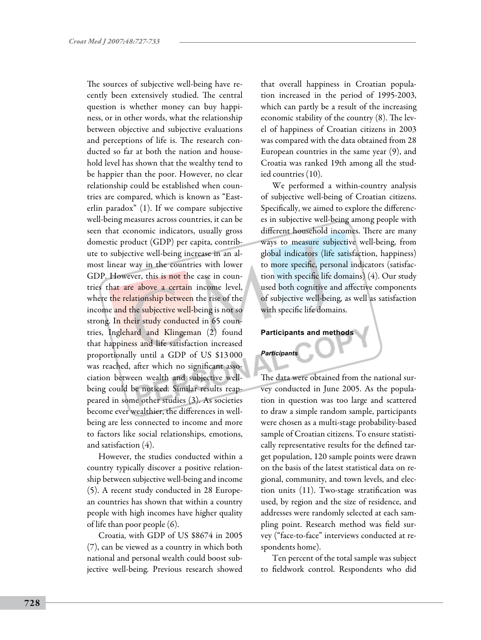The sources of subjective well-being have recently been extensively studied. The central question is whether money can buy happiness, or in other words, what the relationship between objective and subjective evaluations and perceptions of life is. The research conducted so far at both the nation and household level has shown that the wealthy tend to be happier than the poor. However, no clear relationship could be established when countries are compared, which is known as "Easterlin paradox" (1). If we compare subjective well-being measures across countries, it can be seen that economic indicators, usually gross domestic product (GDP) per capita, contribute to subjective well-being increase in an almost linear way in the countries with lower GDP. However, this is not the case in countries that are above a certain income level, where the relationship between the rise of the income and the subjective well-being is not so strong. In their study conducted in 65 countries, Inglehard and Klingeman (2) found that happiness and life satisfaction increased proportionally until a GDP of US \$13 000 was reached, after which no significant association between wealth and subjective wellbeing could be noticed. Similar results reappeared in some other studies (3). As societies become ever wealthier, the differences in wellbeing are less connected to income and more to factors like social relationships, emotions, and satisfaction (4).

However, the studies conducted within a country typically discover a positive relationship between subjective well-being and income (5). A recent study conducted in 28 European countries has shown that within a country people with high incomes have higher quality of life than poor people (6).

Croatia, with GDP of US \$8674 in 2005 (7), can be viewed as a country in which both national and personal wealth could boost subjective well-being. Previous research showed that overall happiness in Croatian population increased in the period of 1995-2003, which can partly be a result of the increasing economic stability of the country (8). The level of happiness of Croatian citizens in 2003 was compared with the data obtained from 28 European countries in the same year (9), and Croatia was ranked 19th among all the studied countries (10).

We performed a within-country analysis of subjective well-being of Croatian citizens. Specifically, we aimed to explore the differences in subjective well-being among people with different household incomes. There are many ways to measure subjective well-being, from global indicators (life satisfaction, happiness) to more specific, personal indicators (satisfaction with specific life domains) (4). Our study used both cognitive and affective components of subjective well-being, as well as satisfaction with specific life domains.

## **Participants and methods**

## *Participants*

The data were obtained from the national survey conducted in June 2005. As the population in question was too large and scattered to draw a simple random sample, participants were chosen as a multi-stage probability-based sample of Croatian citizens. To ensure statistically representative results for the defined target population, 120 sample points were drawn on the basis of the latest statistical data on regional, community, and town levels, and election units (11). Two-stage stratification was used, by region and the size of residence, and addresses were randomly selected at each sampling point. Research method was field survey ("face-to-face" interviews conducted at respondents home).

Ten percent of the total sample was subject to fieldwork control. Respondents who did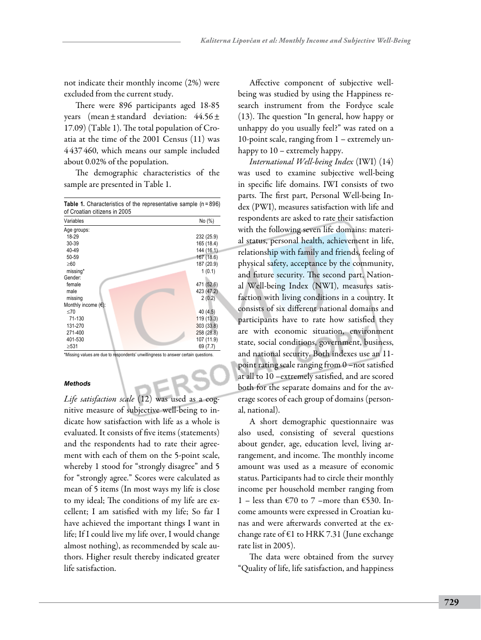not indicate their monthly income (2%) were excluded from the current study.

There were 896 participants aged 18-85 years (mean±standard deviation: 44.56± 17.09) (Table 1). The total population of Croatia at the time of the 2001 Census (11) was 4 437 460, which means our sample included about 0.02% of the population.

The demographic characteristics of the sample are presented in Table 1.

| <b>Table 1.</b> Characteristics of the representative sample (n=896)<br>of Croatian citizens in 2005 |            |
|------------------------------------------------------------------------------------------------------|------------|
| Variables                                                                                            | No (%)     |
| Age groups:                                                                                          |            |
| 18-29                                                                                                | 232 (25.9) |
| 30-39                                                                                                | 165 (18.4) |
| 40-49                                                                                                | 144 (16.1) |
| 50-59                                                                                                | 167 (18.6) |
| $\geq 60$                                                                                            | 187 (20.9) |
| missing*                                                                                             | 1(0.1)     |
| Gender:                                                                                              |            |
| female                                                                                               | 471 (52.6) |
| male                                                                                                 | 423 (47.2) |
| missing                                                                                              | 2(0.2)     |
| Monthly income $(\epsilon)$ :                                                                        |            |
| <70                                                                                                  | 40 (4.5)   |
| 71-130                                                                                               | 119 (13.3) |
| 131-270                                                                                              | 303 (33.8) |
| 271-400                                                                                              | 258 (28.8) |
| 401-530                                                                                              | 107 (11.9) |
| $\geq 531$                                                                                           | 69 (7.7)   |
|                                                                                                      |            |

\*Missing values are due to respondents' unwillingness to answer certain questions.

## *Methods*

*Life satisfaction scale* (12) was used as a cognitive measure of subjective well-being to indicate how satisfaction with life as a whole is evaluated. It consists of five items (statements) and the respondents had to rate their agreement with each of them on the 5-point scale, whereby 1 stood for "strongly disagree" and 5 for "strongly agree." Scores were calculated as mean of 5 items (In most ways my life is close to my ideal; The conditions of my life are excellent; I am satisfied with my life; So far I have achieved the important things I want in life; If I could live my life over, I would change almost nothing), as recommended by scale authors. Higher result thereby indicated greater life satisfaction.

Affective component of subjective wellbeing was studied by using the Happiness research instrument from the Fordyce scale (13). The question "In general, how happy or unhappy do you usually feel?" was rated on a 10-point scale, ranging from 1 – extremely unhappy to 10 – extremely happy.

*International Well-being Index* (IWI) (14) was used to examine subjective well-being in specific life domains. IWI consists of two parts. The first part, Personal Well-being Index (PWI), measures satisfaction with life and respondents are asked to rate their satisfaction with the following seven life domains: material status, personal health, achievement in life, relationship with family and friends, feeling of physical safety, acceptance by the community, and future security. The second part, National Well-being Index (NWI), measures satisfaction with living conditions in a country. It consists of six different national domains and participants have to rate how satisfied they are with economic situation, environment state, social conditions, government, business, and national security. Both indexes use an 11 point rating scale ranging from 0 –not satisfied at all to 10 –extremely satisfied, and are scored both for the separate domains and for the average scores of each group of domains (personal, national).

A short demographic questionnaire was also used, consisting of several questions about gender, age, education level, living arrangement, and income. The monthly income amount was used as a measure of economic status. Participants had to circle their monthly income per household member ranging from 1 – less than €70 to 7 –more than €530. Income amounts were expressed in Croatian kunas and were afterwards converted at the exchange rate of €1 to HRK 7.31 (June exchange rate list in 2005).

The data were obtained from the survey "Quality of life, life satisfaction, and happiness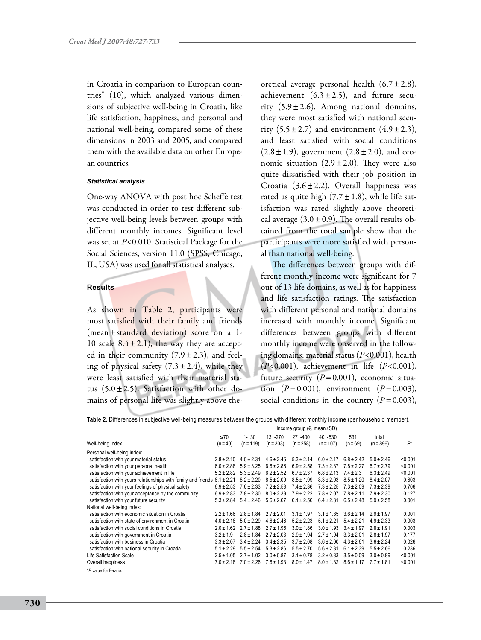in Croatia in comparison to European countries" (10), which analyzed various dimensions of subjective well-being in Croatia, like life satisfaction, happiness, and personal and national well-being, compared some of these dimensions in 2003 and 2005, and compared them with the available data on other European countries.

#### *Statistical analysis*

One-way ANOVA with post hoc Scheffe test was conducted in order to test different subjective well-being levels between groups with different monthly incomes. Significant level was set at *P*<0.010. Statistical Package for the Social Sciences, version 11.0 (SPSS, Chicago, IL, USA) was used for all statistical analyses.

## **Results**

As shown in Table 2, participants were most satisfied with their family and friends (mean±standard deviation) score on a 1- 10 scale  $8.4 \pm 2.1$ ), the way they are accepted in their community  $(7.9 \pm 2.3)$ , and feeling of physical safety  $(7.3 \pm 2.4)$ , while they were least satisfied with their material status  $(5.0 \pm 2.5)$ . Satisfaction with other domains of personal life was slightly above theoretical average personal health  $(6.7 \pm 2.8)$ , achievement  $(6.3 \pm 2.5)$ , and future security  $(5.9 \pm 2.6)$ . Among national domains, they were most satisfied with national security  $(5.5 \pm 2.7)$  and environment  $(4.9 \pm 2.3)$ , and least satisfied with social conditions  $(2.8 \pm 1.9)$ , government  $(2.8 \pm 2.0)$ , and economic situation  $(2.9 \pm 2.0)$ . They were also quite dissatisfied with their job position in Croatia  $(3.6 \pm 2.2)$ . Overall happiness was rated as quite high  $(7.7 \pm 1.8)$ , while life satisfaction was rated slightly above theoretical average  $(3.0 \pm 0.9)$ . The overall results obtained from the total sample show that the participants were more satisfied with personal than national well-being.

The differences between groups with different monthly income were significant for 7 out of 13 life domains, as well as for happiness and life satisfaction ratings. The satisfaction with different personal and national domains increased with monthly income. Significant differences between groups with different monthly income were observed in the following domains: material status (*P*<0.001), health (*P*<0.001), achievement in life (*P*<0.001), future security  $(P=0.001)$ , economic situation  $(P=0.001)$ , environment  $(P=0.003)$ , social conditions in the country  $(P=0.003)$ ,

| Table 2. Differences in subjective well-being measures between the groups with different monthly income (per household member). |                                           |                               |                |                |                |                |                |         |
|---------------------------------------------------------------------------------------------------------------------------------|-------------------------------------------|-------------------------------|----------------|----------------|----------------|----------------|----------------|---------|
|                                                                                                                                 | Income group $(\epsilon$ , mean $\pm$ SD) |                               |                |                |                |                |                |         |
|                                                                                                                                 | ≤70                                       | $1 - 130$                     | 131-270        | 271-400        | 401-530        | 531            | total          |         |
| Well-being index                                                                                                                | $(n = 40)$                                | $(n = 119)$                   | $(n = 303)$    | $(n = 258)$    | $(n = 107)$    | $(n = 69)$     | $(n = 896)$    | $P^*$   |
| Personal well-being index:                                                                                                      |                                           |                               |                |                |                |                |                |         |
| satisfaction with your material status                                                                                          | $2.8 \pm 2.10$                            | $4.0 \pm 2.31$                | $4.6 \pm 2.46$ | $5.3 \pm 2.14$ | $6.0 \pm 2.17$ | $6.8 \pm 2.42$ | $5.0 \pm 2.46$ | < 0.001 |
| satisfaction with your personal health                                                                                          | $6.0 \pm 2.88$                            | $5.9 \pm 3.25$                | $6.6 \pm 2.86$ | $6.9 \pm 2.58$ | $7.3 \pm 2.37$ | $7.8 \pm 2.27$ | $6.7 \pm 2.79$ | < 0.001 |
| satisfaction with your achievement in life                                                                                      | $5.2 \pm 2.82$                            | $5.3 \pm 2.49$                | $6.2 \pm 2.52$ | $6.7 \pm 2.37$ | $6.8 \pm 2.13$ | $7.4 \pm 2.3$  | $6.3 \pm 2.49$ | < 0.001 |
| satisfaction with yours relationships with family and friends $8.1 \pm 2.21$                                                    |                                           | $8.2 \pm 2.20$                | $8.5 \pm 2.09$ | $8.5 \pm 1.99$ | $8.3 \pm 2.03$ | $8.5 \pm 1.20$ | $8.4 \pm 2.07$ | 0.603   |
| satisfaction with your feelings of physical safety                                                                              | $6.9 \pm 2.53$                            | $7.6 \pm 2.33$                | $7.2 \pm 2.53$ | $7.4 \pm 2.36$ | $7.3 \pm 2.25$ | $7.3 \pm 2.09$ | $7.3 \pm 2.39$ | 0.706   |
| satisfaction with your acceptance by the community                                                                              | $6.9 \pm 2.83$                            | $7.8 \pm 2.30$                | $8.0 \pm 2.39$ | $7.9 \pm 2.22$ | $7.8 \pm 2.07$ | $7.8 \pm 2.11$ | $7.9 \pm 2.30$ | 0.127   |
| satisfaction with your future security                                                                                          |                                           | $5.3 \pm 2.84$ $5.4 \pm 2.46$ | $5.6 \pm 2.67$ | $6.1 \pm 2.56$ | $6.4 \pm 2.31$ | $6.5 \pm 2.48$ | $5.9 \pm 2.58$ | 0.001   |
| National well-being index:                                                                                                      |                                           |                               |                |                |                |                |                |         |
| satisfaction with economic situation in Croatia                                                                                 | $2.2 \pm 1.66$                            | $2.8 \pm 1.84$                | $2.7 \pm 2.01$ | $3.1 \pm 1.97$ | $3.1 \pm 1.85$ | $3.6 \pm 2.14$ | $2.9 \pm 1.97$ | 0.001   |
| satisfaction with state of environment in Croatia                                                                               | $4.0 \pm 2.18$                            | $5.0 \pm 2.29$                | $4.6 \pm 2.46$ | $5.2 \pm 2.23$ | $5.1 \pm 2.21$ | $5.4 \pm 2.21$ | $4.9 \pm 2.33$ | 0.003   |
| satisfaction with social conditions in Croatia                                                                                  | $2.0 \pm 1.62$                            | $2.7 \pm 1.88$                | $2.7 \pm 1.95$ | $3.0 \pm 1.86$ | $3.0 \pm 1.93$ | $3.4 \pm 1.97$ | $2.8 \pm 1.91$ | 0.003   |
| satisfaction with government in Croatia                                                                                         | $3.2 \pm 1.9$                             | $2.8 \pm 1.84$                | $2.7 \pm 2.03$ | $2.9 \pm 1.94$ | $2.7 \pm 1.94$ | $3.3 \pm 2.01$ | $2.8 \pm 1.97$ | 0.177   |
| satisfaction with business in Croatia                                                                                           | $3.3 \pm 2.07$                            | $3.4 \pm 2.24$                | $3.4 \pm 2.35$ | $3.7 \pm 2.08$ | $3.6 \pm 2.00$ | $4.3 \pm 2.61$ | $3.6 \pm 2.24$ | 0.026   |
| satisfaction with national security in Croatia                                                                                  | $5.1 \pm 2.29$                            | $5.5 \pm 2.54$                | $5.3 \pm 2.86$ | $5.5 \pm 2.70$ | $5.6 \pm 2.31$ | $6.1 \pm 2.39$ | $5.5 \pm 2.66$ | 0.236   |
| Life Satisfaction Scale                                                                                                         | $2.5 \pm 1.05$                            | $2.7 \pm 1.02$                | $3.0 \pm 0.87$ | $3.1 \pm 0.78$ | $3.2 \pm 0.83$ | $3.5 \pm 0.09$ | $3.0 \pm 0.89$ | < 0.001 |
| Overall happiness                                                                                                               | $7.0 \pm 2.18$                            | $7.0 \pm 2.26$                | $7.6 \pm 1.93$ | $8.0 \pm 1.47$ | $8.0 \pm 1.32$ | $8.6 \pm 1.17$ | $7.7 \pm 1.81$ | < 0.001 |

\**P* value for F-ratio.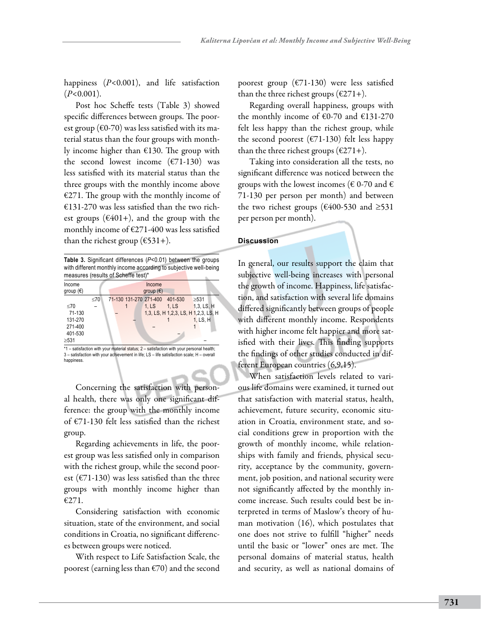happiness (*P*<0.001), and life satisfaction (*P*<0.001).

Post hoc Scheffe tests (Table 3) showed specific differences between groups. The poorest group ( $\epsilon$ 0-70) was less satisfied with its material status than the four groups with monthly income higher than €130. The group with the second lowest income  $(E71-130)$  was less satisfied with its material status than the three groups with the monthly income above  $E271$ . The group with the monthly income of  $£131-270$  was less satisfied than the two richest groups ( $\epsilon$ 401+), and the group with the monthly income of  $E271-400$  was less satisfied than the richest group ( $€531+$ ).

|                              |     | Table 3. Significant differences (P<0.01) between the groups<br>with different monthly income according to subjective well-being<br>measures (results of Scheffe test)* |                              |         |            |
|------------------------------|-----|-------------------------------------------------------------------------------------------------------------------------------------------------------------------------|------------------------------|---------|------------|
| Income<br>group $(\epsilon)$ |     |                                                                                                                                                                         | Income<br>qroup $(\epsilon)$ |         |            |
|                              | <70 | 71-130 131-270 271-400                                                                                                                                                  |                              | 401-530 | >531       |
| <70                          |     |                                                                                                                                                                         | 1. LS                        | 1. LS   | 1,3, LS, H |

| 71-130  | - |                                                                                              | 1,3, LS, H 1,2,3, LS, H 1,2,3, LS, H |
|---------|---|----------------------------------------------------------------------------------------------|--------------------------------------|
| 131-270 |   |                                                                                              | 1. LS. H                             |
| 271-400 |   |                                                                                              |                                      |
| 401-530 |   |                                                                                              |                                      |
| >531    |   |                                                                                              |                                      |
|         |   | $*1$ – satisfaction with your material status: $2$ – satisfaction with your personal health: |                                      |

\*1 – satisfaction with your material status; 2 – satisfaction with your personal health; 3 – satisfaction with your achievement in life; LS – life satisfaction scale; H – overall happiness.

Concerning the satisfaction with personal health, there was only one significant difference: the group with the monthly income of €71-130 felt less satisfied than the richest group.

Regarding achievements in life, the poorest group was less satisfied only in comparison with the richest group, while the second poorest ( $\epsilon$ 71-130) was less satisfied than the three groups with monthly income higher than €271.

Considering satisfaction with economic situation, state of the environment, and social conditions in Croatia, no significant differences between groups were noticed.

With respect to Life Satisfaction Scale, the poorest (earning less than  $\epsilon$ 70) and the second poorest group ( $E$ 71-130) were less satisfied than the three richest groups ( $\epsilon$ 271+).

Regarding overall happiness, groups with the monthly income of  $€0-70$  and  $€131-270$ felt less happy than the richest group, while the second poorest ( $\epsilon$ 71-130) felt less happy than the three richest groups ( $\epsilon$ 271+).

Taking into consideration all the tests, no significant difference was noticed between the groups with the lowest incomes ( $\epsilon$  0-70 and  $\epsilon$ 71-130 per person per month) and between the two richest groups ( $\epsilon$ 400-530 and ≥531 per person per month).

# **Discussion**

In general, our results support the claim that subjective well-being increases with personal the growth of income. Happiness, life satisfaction, and satisfaction with several life domains differed significantly between groups of people with different monthly income. Respondents with higher income felt happier and more satisfied with their lives. This finding supports the findings of other studies conducted in different European countries (6,9,15).

When satisfaction levels related to various life domains were examined, it turned out that satisfaction with material status, health, achievement, future security, economic situation in Croatia, environment state, and social conditions grew in proportion with the growth of monthly income, while relationships with family and friends, physical security, acceptance by the community, government, job position, and national security were not significantly affected by the monthly income increase. Such results could best be interpreted in terms of Maslow's theory of human motivation (16), which postulates that one does not strive to fulfill "higher" needs until the basic or "lower" ones are met. The personal domains of material status, health and security, as well as national domains of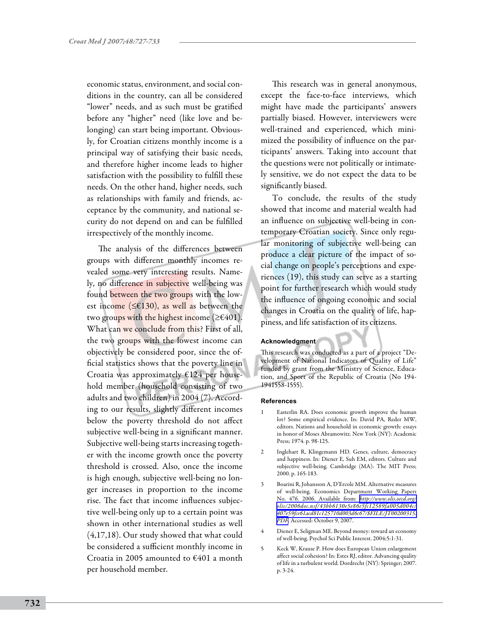economic status, environment, and social conditions in the country, can all be considered "lower" needs, and as such must be gratified before any "higher" need (like love and belonging) can start being important. Obviously, for Croatian citizens monthly income is a principal way of satisfying their basic needs, and therefore higher income leads to higher satisfaction with the possibility to fulfill these needs. On the other hand, higher needs, such as relationships with family and friends, acceptance by the community, and national security do not depend on and can be fulfilled irrespectively of the monthly income.

The analysis of the differences between groups with different monthly incomes revealed some very interesting results. Namely, no difference in subjective well-being was found between the two groups with the lowest income ( $\leq$ £130), as well as between the two groups with the highest income ( $\geq \epsilon 401$ ). What can we conclude from this? First of all, the two groups with the lowest income can objectively be considered poor, since the official statistics shows that the poverty line in Croatia was approximately  $E124$  per household member (household consisting of two adults and two children) in 2004 (7). According to our results, slightly different incomes below the poverty threshold do not affect subjective well-being in a significant manner. Subjective well-being starts increasing together with the income growth once the poverty threshold is crossed. Also, once the income is high enough, subjective well-being no longer increases in proportion to the income rise. The fact that income influences subjective well-being only up to a certain point was shown in other international studies as well (4,17,18). Our study showed that what could be considered a sufficient monthly income in Croatia in 2005 amounted to €401 a month per household member.

This research was in general anonymous, except the face-to-face interviews, which might have made the participants' answers partially biased. However, interviewers were well-trained and experienced, which minimized the possibility of influence on the participants' answers. Taking into account that the questions were not politically or intimately sensitive, we do not expect the data to be significantly biased.

To conclude, the results of the study showed that income and material wealth had an influence on subjective well-being in contemporary Croatian society. Since only regular monitoring of subjective well-being can produce a clear picture of the impact of social change on people's perceptions and experiences (19), this study can serve as a starting point for further research which would study the influence of ongoing economic and social changes in Croatia on the quality of life, happiness, and life satisfaction of its citizens.

#### **Acknowledgment**

This research was conducted as a part of a project "Development of National Indicators of Quality of Life" funded by grant from the Ministry of Science, Education, and Sport of the Republic of Croatia (No 194- 1941558-1555).

#### **References**

- Easterlin RA. Does economic growth improve the human lot? Some empirical evidence. In: David PA, Reder MW, editors. Nations and household in economic growth: essays in honor of Moses Abramowitz. New York (NY): Academic Press; 1974. p. 98-125.
- 2 Inglehart R, Klingemann HD. Genes, culture, democracy and happiness. In: Diener E, Suh EM, editors. Culture and subjective well-being. Cambridge (MA): The MIT Press; 2000. p. 165-183.
- 3 Boarini R, Johansson A, D'Ercole MM. Alternative measures of well-being. Economics Department Working Papers No. 476. 2006. Available from: *[http://www.olis.oecd.org/](http://www.olis.oecd.org/olis/2006doc.nsf/43bb6130e5e86e5fc12569fa005d004c/407e59fce61acd81c125710d003d6c67/$FILE/JT00200315.PDF) [olis/2006doc.nsf/43bb6130e5e86e5fc12569fa005d004c/](http://www.olis.oecd.org/olis/2006doc.nsf/43bb6130e5e86e5fc12569fa005d004c/407e59fce61acd81c125710d003d6c67/$FILE/JT00200315.PDF) [407e59fce61acd81c125710d003d6c67/\\$FILE/JT00200315.](http://www.olis.oecd.org/olis/2006doc.nsf/43bb6130e5e86e5fc12569fa005d004c/407e59fce61acd81c125710d003d6c67/$FILE/JT00200315.PDF) [PDF](http://www.olis.oecd.org/olis/2006doc.nsf/43bb6130e5e86e5fc12569fa005d004c/407e59fce61acd81c125710d003d6c67/$FILE/JT00200315.PDF)*. Accessed: October 9, 2007.
- Diener E, Seligman ME. Beyond money: toward an economy of well-being. Psychol Sci Public Interest. 2004;5:1-31.
- 5 Keck W, Krause P. How does European Union enlargement affect social cohesion? In: Estes RJ, editor. Advancing quality of life in a turbulent world. Dordrecht (NY): Springer; 2007. p. 3-24.